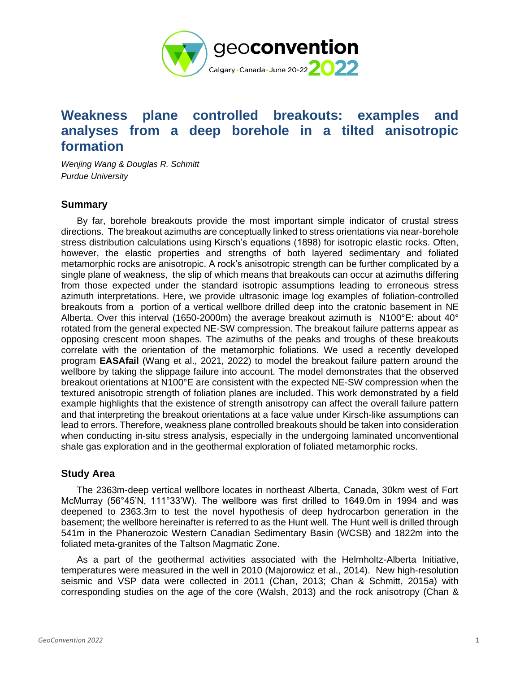

# **Weakness plane controlled breakouts: examples and analyses from a deep borehole in a tilted anisotropic formation**

*Wenjing Wang & Douglas R. Schmitt Purdue University*

# **Summary**

 By far, borehole breakouts provide the most important simple indicator of crustal stress directions. The breakout azimuths are conceptually linked to stress orientations via near-borehole stress distribution calculations using Kirsch's equations (1898) for isotropic elastic rocks. Often, however, the elastic properties and strengths of both layered sedimentary and foliated metamorphic rocks are anisotropic. A rock's anisotropic strength can be further complicated by a single plane of weakness, the slip of which means that breakouts can occur at azimuths differing from those expected under the standard isotropic assumptions leading to erroneous stress azimuth interpretations. Here, we provide ultrasonic image log examples of foliation-controlled breakouts from a portion of a vertical wellbore drilled deep into the cratonic basement in NE Alberta. Over this interval (1650-2000m) the average breakout azimuth is N100°E: about 40° rotated from the general expected NE-SW compression. The breakout failure patterns appear as opposing crescent moon shapes. The azimuths of the peaks and troughs of these breakouts correlate with the orientation of the metamorphic foliations. We used a recently developed program **EASAfail** (Wang et al., 2021, 2022) to model the breakout failure pattern around the wellbore by taking the slippage failure into account. The model demonstrates that the observed breakout orientations at N100°E are consistent with the expected NE-SW compression when the textured anisotropic strength of foliation planes are included. This work demonstrated by a field example highlights that the existence of strength anisotropy can affect the overall failure pattern and that interpreting the breakout orientations at a face value under Kirsch-like assumptions can lead to errors. Therefore, weakness plane controlled breakouts should be taken into consideration when conducting in-situ stress analysis, especially in the undergoing laminated unconventional shale gas exploration and in the geothermal exploration of foliated metamorphic rocks.

# **Study Area**

 The 2363m-deep vertical wellbore locates in northeast Alberta, Canada, 30km west of Fort McMurray (56°45'N, 111°33'W). The wellbore was first drilled to 1649.0m in 1994 and was deepened to 2363.3m to test the novel hypothesis of deep hydrocarbon generation in the basement; the wellbore hereinafter is referred to as the Hunt well. The Hunt well is drilled through 541m in the Phanerozoic Western Canadian Sedimentary Basin (WCSB) and 1822m into the foliated meta-granites of the Taltson Magmatic Zone.

 As a part of the geothermal activities associated with the Helmholtz-Alberta Initiative, temperatures were measured in the well in 2010 (Majorowicz et al., 2014). New high-resolution seismic and VSP data were collected in 2011 (Chan, 2013; Chan & Schmitt, 2015a) with corresponding studies on the age of the core (Walsh, 2013) and the rock anisotropy (Chan &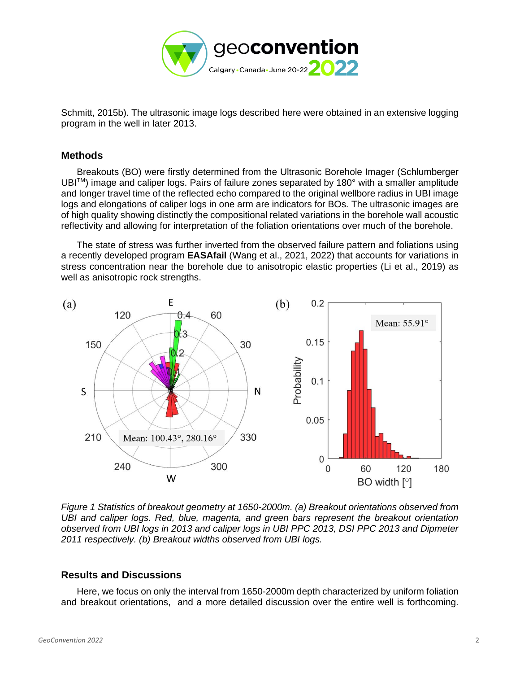

Schmitt, 2015b). The ultrasonic image logs described here were obtained in an extensive logging program in the well in later 2013.

### **Methods**

 Breakouts (BO) were firstly determined from the Ultrasonic Borehole Imager (Schlumberger UBITM) image and caliper logs. Pairs of failure zones separated by 180° with a smaller amplitude and longer travel time of the reflected echo compared to the original wellbore radius in UBI image logs and elongations of caliper logs in one arm are indicators for BOs. The ultrasonic images are of high quality showing distinctly the compositional related variations in the borehole wall acoustic reflectivity and allowing for interpretation of the foliation orientations over much of the borehole.

 The state of stress was further inverted from the observed failure pattern and foliations using a recently developed program **EASAfail** (Wang et al., 2021, 2022) that accounts for variations in stress concentration near the borehole due to anisotropic elastic properties (Li et al., 2019) as well as anisotropic rock strengths.



*Figure 1 Statistics of breakout geometry at 1650-2000m. (a) Breakout orientations observed from UBI and caliper logs. Red, blue, magenta, and green bars represent the breakout orientation observed from UBI logs in 2013 and caliper logs in UBI PPC 2013, DSI PPC 2013 and Dipmeter 2011 respectively. (b) Breakout widths observed from UBI logs.* 

# **Results and Discussions**

 Here, we focus on only the interval from 1650-2000m depth characterized by uniform foliation and breakout orientations, and a more detailed discussion over the entire well is forthcoming.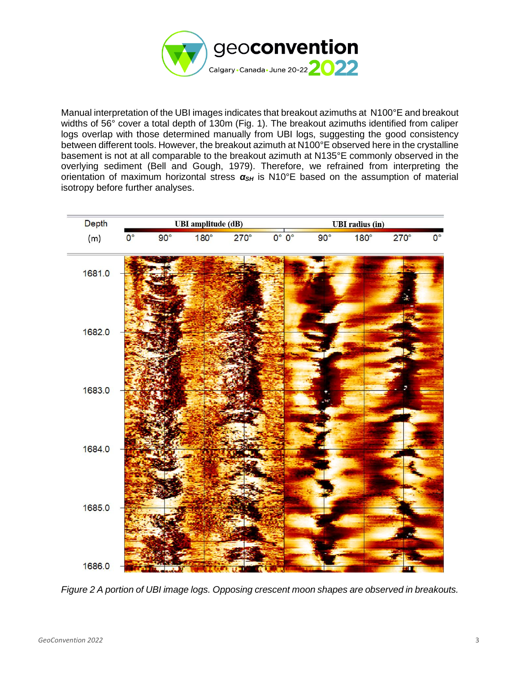

Manual interpretation of the UBI images indicates that breakout azimuths at N100°E and breakout widths of 56° cover a total depth of 130m (Fig. 1). The breakout azimuths identified from caliper logs overlap with those determined manually from UBI logs, suggesting the good consistency between different tools. However, the breakout azimuth at N100°E observed here in the crystalline basement is not at all comparable to the breakout azimuth at N135°E commonly observed in the overlying sediment (Bell and Gough, 1979). Therefore, we refrained from interpreting the orientation of maximum horizontal stress *αSH* is N10°E based on the assumption of material isotropy before further analyses.



*Figure 2 A portion of UBI image logs. Opposing crescent moon shapes are observed in breakouts.*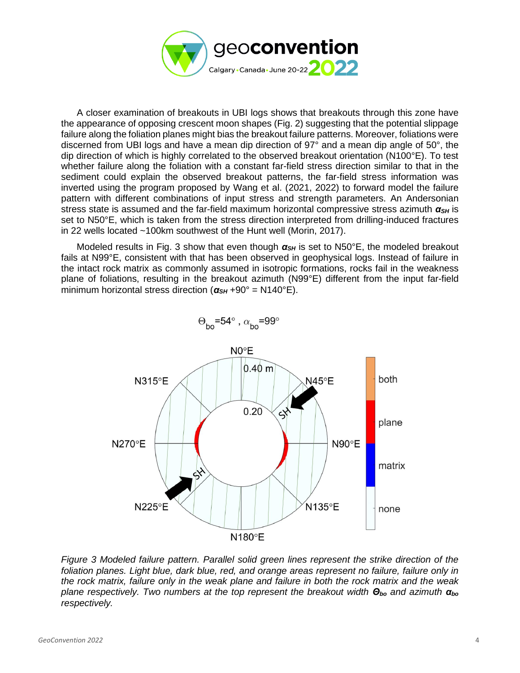

 A closer examination of breakouts in UBI logs shows that breakouts through this zone have the appearance of opposing crescent moon shapes (Fig. 2) suggesting that the potential slippage failure along the foliation planes might bias the breakout failure patterns. Moreover, foliations were discerned from UBI logs and have a mean dip direction of 97° and a mean dip angle of 50°, the dip direction of which is highly correlated to the observed breakout orientation (N100°E). To test whether failure along the foliation with a constant far-field stress direction similar to that in the sediment could explain the observed breakout patterns, the far-field stress information was inverted using the program proposed by Wang et al. (2021, 2022) to forward model the failure pattern with different combinations of input stress and strength parameters. An Andersonian stress state is assumed and the far-field maximum horizontal compressive stress azimuth *αSH* is set to N50°E, which is taken from the stress direction interpreted from drilling-induced fractures in 22 wells located ~100km southwest of the Hunt well (Morin, 2017).

Modeled results in Fig. 3 show that even though  $\alpha_{SH}$  is set to N50°E, the modeled breakout fails at N99°E, consistent with that has been observed in geophysical logs. Instead of failure in the intact rock matrix as commonly assumed in isotropic formations, rocks fail in the weakness plane of foliations, resulting in the breakout azimuth (N99°E) different from the input far-field minimum horizontal stress direction ( $\alpha_{SH}$  +90° = N140°E).



 $\Theta_{\text{ho}}$ =54°,  $\alpha_{\text{ho}}$ =99°

*Figure 3 Modeled failure pattern. Parallel solid green lines represent the strike direction of the foliation planes. Light blue, dark blue, red, and orange areas represent no failure, failure only in the rock matrix, failure only in the weak plane and failure in both the rock matrix and the weak plane respectively. Two numbers at the top represent the breakout width Θbo and azimuth αbo respectively.*